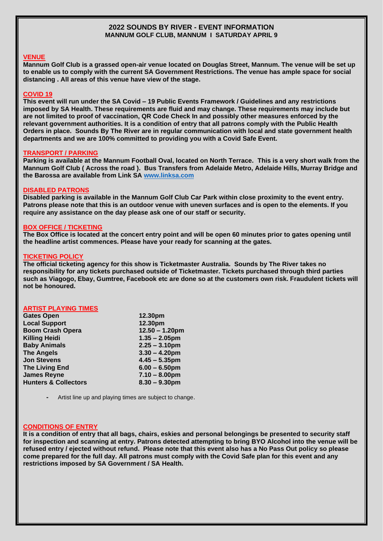## **2022 SOUNDS BY RIVER - EVENT INFORMATION MANNUM GOLF CLUB, MANNUM I SATURDAY APRIL 9**

### **VENUE**

**Mannum Golf Club is a grassed open-air venue located on Douglas Street, Mannum. The venue will be set up to enable us to comply with the current SA Government Restrictions. The venue has ample space for social distancing . All areas of this venue have view of the stage.**

### **COVID 19**

**This event will run under the SA Covid – 19 Public Events Framework / Guidelines and any restrictions imposed by SA Health. These requirements are fluid and may change. These requirements may include but are not limited to proof of vaccination, QR Code Check In and possibly other measures enforced by the relevant government authorities. It is a condition of entry that all patrons comply with the Public Health Orders in place. Sounds By The River are in regular communication with local and state government health departments and we are 100% committed to providing you with a Covid Safe Event.** 

#### **TRANSPORT / PARKING**

**Parking is available at the Mannum Football Oval, located on North Terrace. This is a very short walk from the Mannum Golf Club ( Across the road ). Bus Transfers from Adelaide Metro, Adelaide Hills, Murray Bridge and the Barossa are available from Link SA [www.linksa.com](http://www.linksa.com/)**

### **DISABLED PATRONS**

**Disabled parking is available in the Mannum Golf Club Car Park within close proximity to the event entry. Patrons please note that this is an outdoor venue with uneven surfaces and is open to the elements. If you require any assistance on the day please ask one of our staff or security.**

### **BOX OFFICE / TICKETING**

**The Box Office is located at the concert entry point and will be open 60 minutes prior to gates opening until the headline artist commences. Please have your ready for scanning at the gates.** 

### **TICKETING POLICY**

**The official ticketing agency for this show is Ticketmaster Australia. Sounds by The River takes no responsibility for any tickets purchased outside of Ticketmaster. Tickets purchased through third parties such as Viagogo, Ebay, Gumtree, Facebook etc are done so at the customers own risk. Fraudulent tickets will not be honoured.**

### **ARTIST PLAYING TIMES**

| <b>Gates Open</b>               | 12.30pm           |
|---------------------------------|-------------------|
| <b>Local Support</b>            | 12.30pm           |
| <b>Boom Crash Opera</b>         | $12.50 - 1.20$ pm |
| <b>Killing Heidi</b>            | $1.35 - 2.05$ pm  |
| <b>Baby Animals</b>             | $2.25 - 3.10$ pm  |
| <b>The Angels</b>               | $3.30 - 4.20$ pm  |
| <b>Jon Stevens</b>              | $4.45 - 5.35$ pm  |
| <b>The Living End</b>           | $6.00 - 6.50$ pm  |
| <b>James Reyne</b>              | $7.10 - 8.00$ pm  |
| <b>Hunters &amp; Collectors</b> | $8.30 - 9.30$ pm  |
|                                 |                   |

**-** Artist line up and playing times are subject to change.

# **CONDITIONS OF ENTRY**

**It is a condition of entry that all bags, chairs, eskies and personal belongings be presented to security staff for inspection and scanning at entry. Patrons detected attempting to bring BYO Alcohol into the venue will be refused entry / ejected without refund. Please note that this event also has a No Pass Out policy so please come prepared for the full day. All patrons must comply with the Covid Safe plan for this event and any restrictions imposed by SA Government / SA Health.**